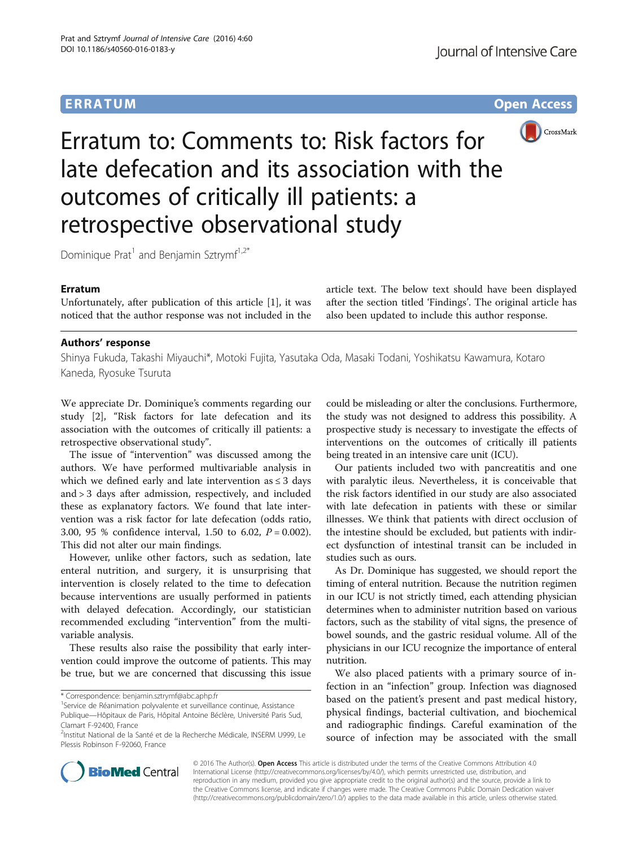# **ERRATUM ERRATUM CONSUMING ACCESS**



Erratum to: Comments to: Risk factors for late defecation and its association with the outcomes of critically ill patients: a retrospective observational study

Dominique Prat<sup>1</sup> and Benjamin Sztrymf<sup>1,2\*</sup>

### Erratum

Unfortunately, after publication of this article [\[1](#page-1-0)], it was noticed that the author response was not included in the article text. The below text should have been displayed after the section titled 'Findings'. The original article has also been updated to include this author response.

## Authors' response

Shinya Fukuda, Takashi Miyauchi\*, Motoki Fujita, Yasutaka Oda, Masaki Todani, Yoshikatsu Kawamura, Kotaro Kaneda, Ryosuke Tsuruta

We appreciate Dr. Dominique's comments regarding our study [[2\]](#page-1-0), "Risk factors for late defecation and its association with the outcomes of critically ill patients: a retrospective observational study".

The issue of "intervention" was discussed among the authors. We have performed multivariable analysis in which we defined early and late intervention as  $\leq 3$  days and > 3 days after admission, respectively, and included these as explanatory factors. We found that late intervention was a risk factor for late defecation (odds ratio, 3.00, 95 % confidence interval, 1.50 to 6.02,  $P = 0.002$ ). This did not alter our main findings.

However, unlike other factors, such as sedation, late enteral nutrition, and surgery, it is unsurprising that intervention is closely related to the time to defecation because interventions are usually performed in patients with delayed defecation. Accordingly, our statistician recommended excluding "intervention" from the multivariable analysis.

These results also raise the possibility that early intervention could improve the outcome of patients. This may be true, but we are concerned that discussing this issue

\* Correspondence: [benjamin.sztrymf@abc.aphp.fr](mailto:benjamin.sztrymf@abc.aphp.fr) <sup>1</sup>

could be misleading or alter the conclusions. Furthermore, the study was not designed to address this possibility. A prospective study is necessary to investigate the effects of interventions on the outcomes of critically ill patients being treated in an intensive care unit (ICU).

Our patients included two with pancreatitis and one with paralytic ileus. Nevertheless, it is conceivable that the risk factors identified in our study are also associated with late defecation in patients with these or similar illnesses. We think that patients with direct occlusion of the intestine should be excluded, but patients with indirect dysfunction of intestinal transit can be included in studies such as ours.

As Dr. Dominique has suggested, we should report the timing of enteral nutrition. Because the nutrition regimen in our ICU is not strictly timed, each attending physician determines when to administer nutrition based on various factors, such as the stability of vital signs, the presence of bowel sounds, and the gastric residual volume. All of the physicians in our ICU recognize the importance of enteral nutrition.

We also placed patients with a primary source of infection in an "infection" group. Infection was diagnosed based on the patient's present and past medical history, physical findings, bacterial cultivation, and biochemical and radiographic findings. Careful examination of the source of infection may be associated with the small



© 2016 The Author(s). Open Access This article is distributed under the terms of the Creative Commons Attribution 4.0 International License [\(http://creativecommons.org/licenses/by/4.0/](http://creativecommons.org/licenses/by/4.0/)), which permits unrestricted use, distribution, and reproduction in any medium, provided you give appropriate credit to the original author(s) and the source, provide a link to the Creative Commons license, and indicate if changes were made. The Creative Commons Public Domain Dedication waiver [\(http://creativecommons.org/publicdomain/zero/1.0/](http://creativecommons.org/publicdomain/zero/1.0/)) applies to the data made available in this article, unless otherwise stated.

<sup>&</sup>lt;sup>1</sup>Service de Réanimation polyvalente et surveillance continue, Assistance Publique—Hôpitaux de Paris, Hôpital Antoine Béclère, Université Paris Sud, Clamart F-92400, France

<sup>&</sup>lt;sup>2</sup>Institut National de la Santé et de la Recherche Médicale, INSERM U999, Le Plessis Robinson F-92060, France